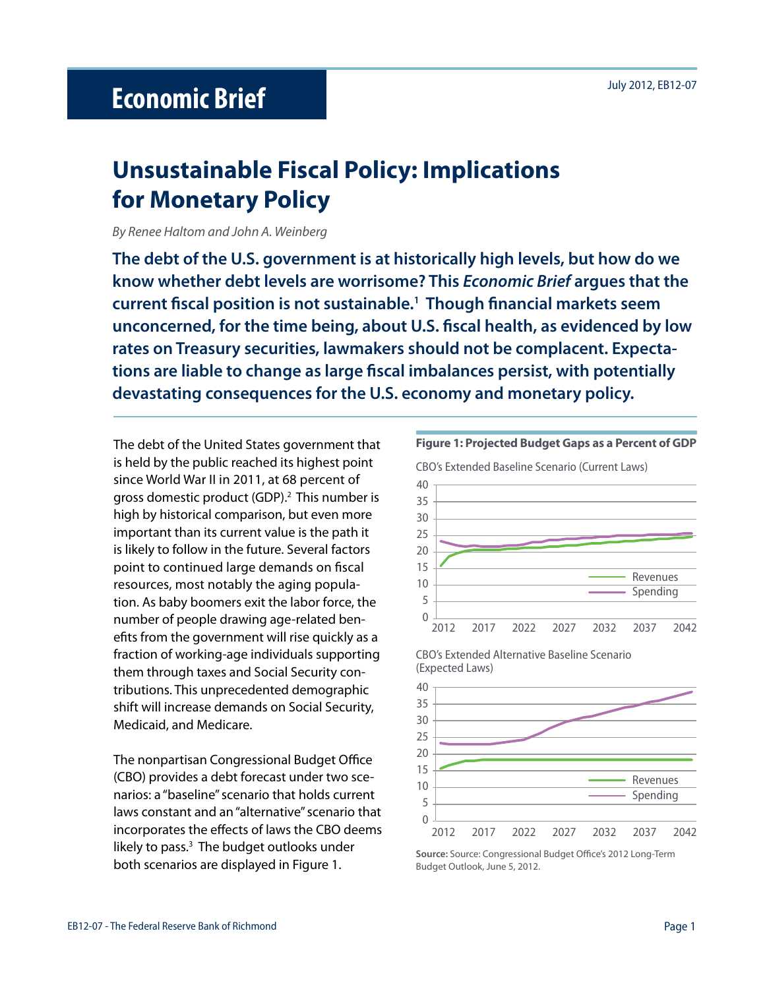# **Unsustainable Fiscal Policy: Implications for Monetary Policy**

*By Renee Haltom and John A. Weinberg*

**The debt of the U.S. government is at historically high levels, but how do we know whether debt levels are worrisome? This** *Economic Brief* **argues that the current fiscal position is not sustainable.1 Though financial markets seem unconcerned, for the time being, about U.S. fiscal health, as evidenced by low rates on Treasury securities, lawmakers should not be complacent. Expectations are liable to change as large fiscal imbalances persist, with potentially devastating consequences for the U.S. economy and monetary policy.** 

The debt of the United States government that is held by the public reached its highest point since World War II in 2011, at 68 percent of gross domestic product (GDP).<sup>2</sup> This number is high by historical comparison, but even more important than its current value is the path it is likely to follow in the future. Several factors point to continued large demands on fiscal resources, most notably the aging population. As baby boomers exit the labor force, the number of people drawing age-related benefits from the government will rise quickly as a fraction of working-age individuals supporting them through taxes and Social Security contributions. This unprecedented demographic shift will increase demands on Social Security, Medicaid, and Medicare.

The nonpartisan Congressional Budget Office (CBO) provides a debt forecast under two scenarios: a "baseline" scenario that holds current laws constant and an "alternative" scenario that incorporates the effects of laws the CBO deems likely to pass.<sup>3</sup> The budget outlooks under both scenarios are displayed in Figure 1.



CBO's Extended Alternative Baseline Scenario (Expected Laws)



**Source:** Source: Congressional Budget Office's 2012 Long-Term Budget Outlook, June 5, 2012.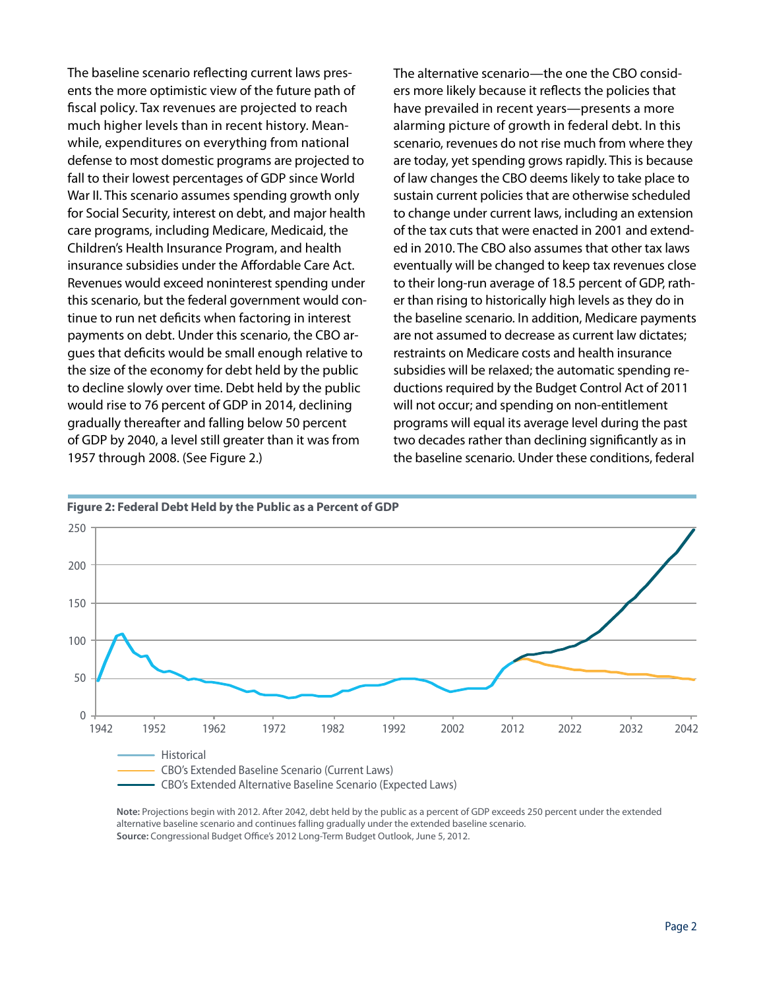The baseline scenario reflecting current laws presents the more optimistic view of the future path of fiscal policy. Tax revenues are projected to reach much higher levels than in recent history. Meanwhile, expenditures on everything from national defense to most domestic programs are projected to fall to their lowest percentages of GDP since World War II. This scenario assumes spending growth only for Social Security, interest on debt, and major health care programs, including Medicare, Medicaid, the Children's Health Insurance Program, and health insurance subsidies under the Affordable Care Act. Revenues would exceed noninterest spending under this scenario, but the federal government would continue to run net deficits when factoring in interest payments on debt. Under this scenario, the CBO argues that deficits would be small enough relative to the size of the economy for debt held by the public to decline slowly over time. Debt held by the public would rise to 76 percent of GDP in 2014, declining gradually thereafter and falling below 50 percent of GDP by 2040, a level still greater than it was from 1957 through 2008. (See Figure 2.)

The alternative scenario—the one the CBO considers more likely because it reflects the policies that have prevailed in recent years—presents a more alarming picture of growth in federal debt. In this scenario, revenues do not rise much from where they are today, yet spending grows rapidly. This is because of law changes the CBO deems likely to take place to sustain current policies that are otherwise scheduled to change under current laws, including an extension of the tax cuts that were enacted in 2001 and extended in 2010. The CBO also assumes that other tax laws eventually will be changed to keep tax revenues close to their long-run average of 18.5 percent of GDP, rather than rising to historically high levels as they do in the baseline scenario. In addition, Medicare payments are not assumed to decrease as current law dictates; restraints on Medicare costs and health insurance subsidies will be relaxed; the automatic spending reductions required by the Budget Control Act of 2011 will not occur; and spending on non-entitlement programs will equal its average level during the past two decades rather than declining significantly as in the baseline scenario. Under these conditions, federal





**Note:** Projections begin with 2012. After 2042, debt held by the public as a percent of GDP exceeds 250 percent under the extended alternative baseline scenario and continues falling gradually under the extended baseline scenario. **Source:** Congressional Budget Office's 2012 Long-Term Budget Outlook, June 5, 2012.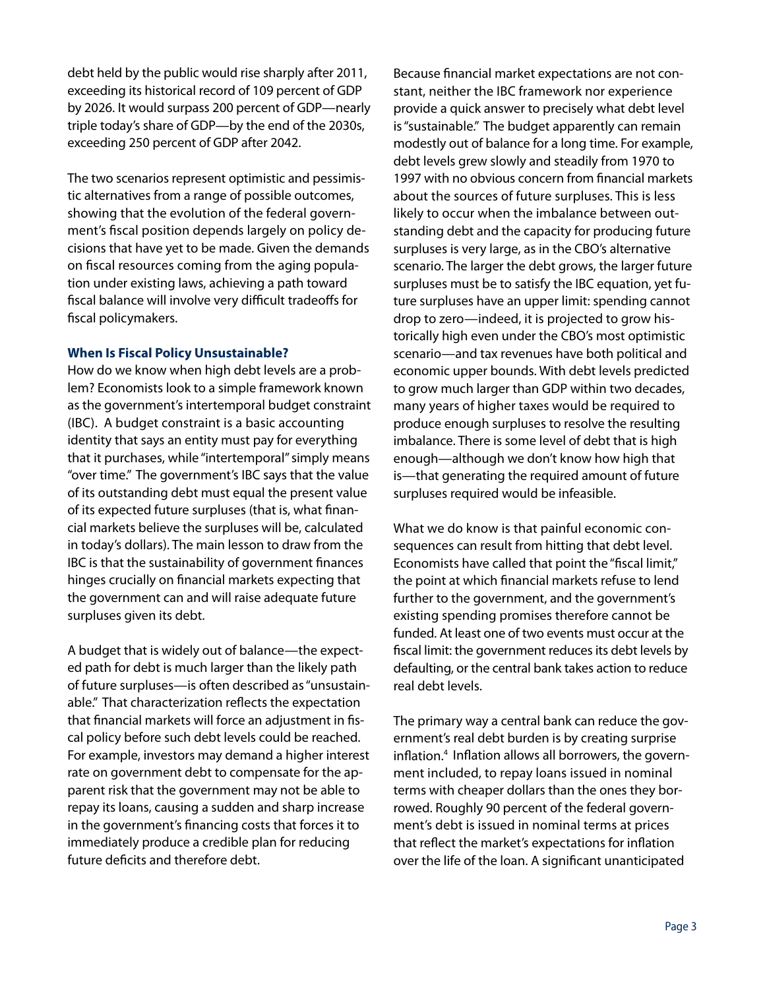debt held by the public would rise sharply after 2011, exceeding its historical record of 109 percent of GDP by 2026. It would surpass 200 percent of GDP—nearly triple today's share of GDP—by the end of the 2030s, exceeding 250 percent of GDP after 2042.

The two scenarios represent optimistic and pessimistic alternatives from a range of possible outcomes, showing that the evolution of the federal government's fiscal position depends largely on policy decisions that have yet to be made. Given the demands on fiscal resources coming from the aging population under existing laws, achieving a path toward fiscal balance will involve very difficult tradeoffs for fiscal policymakers.

### **When Is Fiscal Policy Unsustainable?**

How do we know when high debt levels are a problem? Economists look to a simple framework known as the government's intertemporal budget constraint (IBC). A budget constraint is a basic accounting identity that says an entity must pay for everything that it purchases, while "intertemporal" simply means "over time." The government's IBC says that the value of its outstanding debt must equal the present value of its expected future surpluses (that is, what financial markets believe the surpluses will be, calculated in today's dollars). The main lesson to draw from the IBC is that the sustainability of government finances hinges crucially on financial markets expecting that the government can and will raise adequate future surpluses given its debt.

A budget that is widely out of balance—the expected path for debt is much larger than the likely path of future surpluses—is often described as "unsustainable." That characterization reflects the expectation that financial markets will force an adjustment in fiscal policy before such debt levels could be reached. For example, investors may demand a higher interest rate on government debt to compensate for the apparent risk that the government may not be able to repay its loans, causing a sudden and sharp increase in the government's financing costs that forces it to immediately produce a credible plan for reducing future deficits and therefore debt.

Because financial market expectations are not constant, neither the IBC framework nor experience provide a quick answer to precisely what debt level is "sustainable." The budget apparently can remain modestly out of balance for a long time. For example, debt levels grew slowly and steadily from 1970 to 1997 with no obvious concern from financial markets about the sources of future surpluses. This is less likely to occur when the imbalance between outstanding debt and the capacity for producing future surpluses is very large, as in the CBO's alternative scenario. The larger the debt grows, the larger future surpluses must be to satisfy the IBC equation, yet future surpluses have an upper limit: spending cannot drop to zero—indeed, it is projected to grow historically high even under the CBO's most optimistic scenario—and tax revenues have both political and economic upper bounds. With debt levels predicted to grow much larger than GDP within two decades, many years of higher taxes would be required to produce enough surpluses to resolve the resulting imbalance. There is some level of debt that is high enough—although we don't know how high that is—that generating the required amount of future surpluses required would be infeasible.

What we do know is that painful economic consequences can result from hitting that debt level. Economists have called that point the "fiscal limit," the point at which financial markets refuse to lend further to the government, and the government's existing spending promises therefore cannot be funded. At least one of two events must occur at the fiscal limit: the government reduces its debt levels by defaulting, or the central bank takes action to reduce real debt levels.

The primary way a central bank can reduce the government's real debt burden is by creating surprise inflation.4 Inflation allows all borrowers, the government included, to repay loans issued in nominal terms with cheaper dollars than the ones they borrowed. Roughly 90 percent of the federal government's debt is issued in nominal terms at prices that reflect the market's expectations for inflation over the life of the loan. A significant unanticipated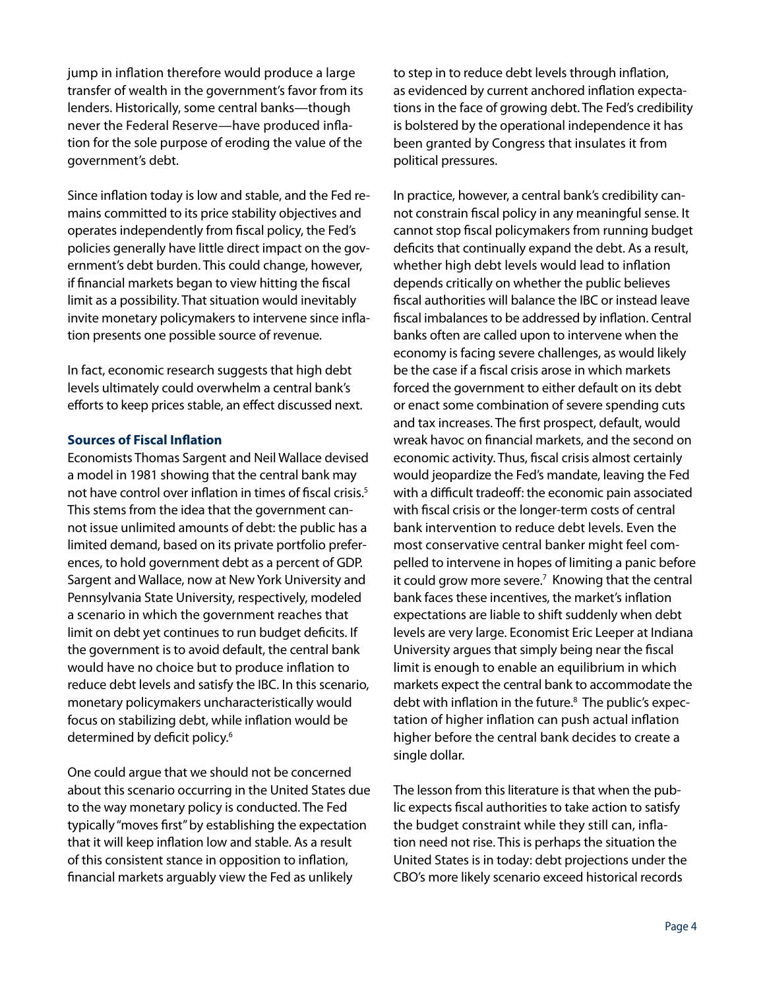jump in inflation therefore would produce a large transfer of wealth in the government's favor from its lenders. Historically, some central banks—though never the Federal Reserve—have produced inflation for the sole purpose of eroding the value of the government's debt.

Since inflation today is low and stable, and the Fed remains committed to its price stability objectives and operates independently from fiscal policy, the Fed's policies generally have little direct impact on the government's debt burden. This could change, however, if financial markets began to view hitting the fiscal limit as a possibility. That situation would inevitably invite monetary policymakers to intervene since inflation presents one possible source of revenue.

In fact, economic research suggests that high debt levels ultimately could overwhelm a central bank's efforts to keep prices stable, an effect discussed next.

### **Sources of Fiscal Inflation**

Economists Thomas Sargent and Neil Wallace devised a model in 1981 showing that the central bank may not have control over inflation in times of fiscal crisis.<sup>5</sup> This stems from the idea that the government cannot issue unlimited amounts of debt: the public has a limited demand, based on its private portfolio preferences, to hold government debt as a percent of GDP. Sargent and Wallace, now at New York University and Pennsylvania State University, respectively, modeled a scenario in which the government reaches that limit on debt yet continues to run budget deficits. If the government is to avoid default, the central bank would have no choice but to produce inflation to reduce debt levels and satisfy the IBC. In this scenario, monetary policymakers uncharacteristically would focus on stabilizing debt, while inflation would be determined by deficit policy.<sup>6</sup>

One could argue that we should not be concerned about this scenario occurring in the United States due to the way monetary policy is conducted. The Fed typically "moves first" by establishing the expectation that it will keep inflation low and stable. As a result of this consistent stance in opposition to inflation, financial markets arguably view the Fed as unlikely

to step in to reduce debt levels through inflation, as evidenced by current anchored inflation expectations in the face of growing debt. The Fed's credibility is bolstered by the operational independence it has been granted by Congress that insulates it from political pressures.

In practice, however, a central bank's credibility cannot constrain fiscal policy in any meaningful sense. It cannot stop fiscal policymakers from running budget deficits that continually expand the debt. As a result, whether high debt levels would lead to inflation depends critically on whether the public believes fiscal authorities will balance the IBC or instead leave fiscal imbalances to be addressed by inflation. Central banks often are called upon to intervene when the economy is facing severe challenges, as would likely be the case if a fiscal crisis arose in which markets forced the government to either default on its debt or enact some combination of severe spending cuts and tax increases. The first prospect, default, would wreak havoc on financial markets, and the second on economic activity. Thus, fiscal crisis almost certainly would jeopardize the Fed's mandate, leaving the Fed with a difficult tradeoff: the economic pain associated with fiscal crisis or the longer-term costs of central bank intervention to reduce debt levels. Even the most conservative central banker might feel compelled to intervene in hopes of limiting a panic before it could grow more severe.<sup>7</sup> Knowing that the central bank faces these incentives, the market's inflation expectations are liable to shift suddenly when debt levels are very large. Economist Eric Leeper at Indiana University argues that simply being near the fiscal limit is enough to enable an equilibrium in which markets expect the central bank to accommodate the debt with inflation in the future.<sup>8</sup> The public's expectation of higher inflation can push actual inflation higher before the central bank decides to create a single dollar.

The lesson from this literature is that when the public expects fiscal authorities to take action to satisfy the budget constraint while they still can, inflation need not rise. This is perhaps the situation the United States is in today: debt projections under the CBO's more likely scenario exceed historical records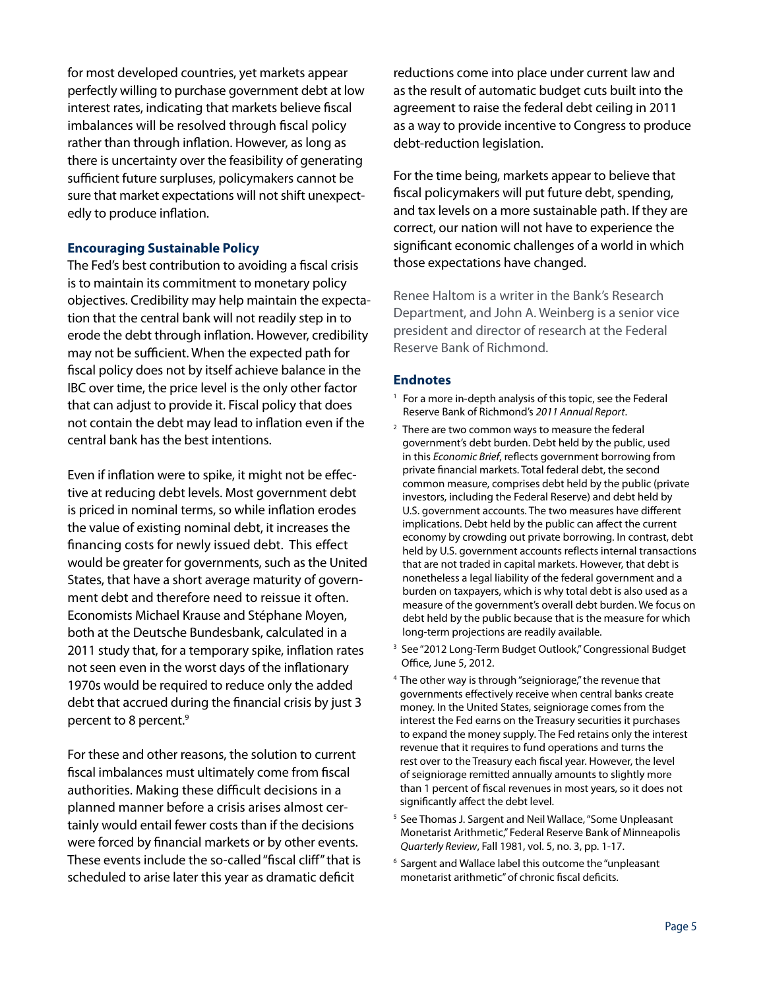for most developed countries, yet markets appear perfectly willing to purchase government debt at low interest rates, indicating that markets believe fiscal imbalances will be resolved through fiscal policy rather than through inflation. However, as long as there is uncertainty over the feasibility of generating sufficient future surpluses, policymakers cannot be sure that market expectations will not shift unexpectedly to produce inflation.

### **Encouraging Sustainable Policy**

The Fed's best contribution to avoiding a fiscal crisis is to maintain its commitment to monetary policy objectives. Credibility may help maintain the expectation that the central bank will not readily step in to erode the debt through inflation. However, credibility may not be sufficient. When the expected path for fiscal policy does not by itself achieve balance in the IBC over time, the price level is the only other factor that can adjust to provide it. Fiscal policy that does not contain the debt may lead to inflation even if the central bank has the best intentions.

Even if inflation were to spike, it might not be effective at reducing debt levels. Most government debt is priced in nominal terms, so while inflation erodes the value of existing nominal debt, it increases the financing costs for newly issued debt. This effect would be greater for governments, such as the United States, that have a short average maturity of government debt and therefore need to reissue it often. Economists Michael Krause and Stéphane Moyen, both at the Deutsche Bundesbank, calculated in a 2011 study that, for a temporary spike, inflation rates not seen even in the worst days of the inflationary 1970s would be required to reduce only the added debt that accrued during the financial crisis by just 3 percent to 8 percent.<sup>9</sup>

For these and other reasons, the solution to current fiscal imbalances must ultimately come from fiscal authorities. Making these difficult decisions in a planned manner before a crisis arises almost certainly would entail fewer costs than if the decisions were forced by financial markets or by other events. These events include the so-called "fiscal cliff" that is scheduled to arise later this year as dramatic deficit

reductions come into place under current law and as the result of automatic budget cuts built into the agreement to raise the federal debt ceiling in 2011 as a way to provide incentive to Congress to produce debt-reduction legislation.

For the time being, markets appear to believe that fiscal policymakers will put future debt, spending, and tax levels on a more sustainable path. If they are correct, our nation will not have to experience the significant economic challenges of a world in which those expectations have changed.

Renee Haltom is a writer in the Bank's Research Department, and John A. Weinberg is a senior vice president and director of research at the Federal Reserve Bank of Richmond.

## **Endnotes**

- <sup>1</sup> For a more in-depth analysis of this topic, see the Federal Reserve Bank of Richmond's *2011 Annual Report*.
- $2$  There are two common ways to measure the federal government's debt burden. Debt held by the public, used in this *Economic Brief*, reflects government borrowing from private financial markets. Total federal debt, the second common measure, comprises debt held by the public (private investors, including the Federal Reserve) and debt held by U.S. government accounts. The two measures have different implications. Debt held by the public can affect the current economy by crowding out private borrowing. In contrast, debt held by U.S. government accounts reflects internal transactions that are not traded in capital markets. However, that debt is nonetheless a legal liability of the federal government and a burden on taxpayers, which is why total debt is also used as a measure of the government's overall debt burden. We focus on debt held by the public because that is the measure for which long-term projections are readily available.
- <sup>3</sup> See "2012 Long-Term Budget Outlook," Congressional Budget Office, June 5, 2012.
- 4 The other way is through "seigniorage," the revenue that governments effectively receive when central banks create money. In the United States, seigniorage comes from the interest the Fed earns on the Treasury securities it purchases to expand the money supply. The Fed retains only the interest revenue that it requires to fund operations and turns the rest over to the Treasury each fiscal year. However, the level of seigniorage remitted annually amounts to slightly more than 1 percent of fiscal revenues in most years, so it does not significantly affect the debt level.
- <sup>5</sup> See Thomas J. Sargent and Neil Wallace, "Some Unpleasant Monetarist Arithmetic," Federal Reserve Bank of Minneapolis *Quarterly Review*, Fall 1981, vol. 5, no. 3, pp. 1-17.
- 6 Sargent and Wallace label this outcome the "unpleasant monetarist arithmetic" of chronic fiscal deficits.